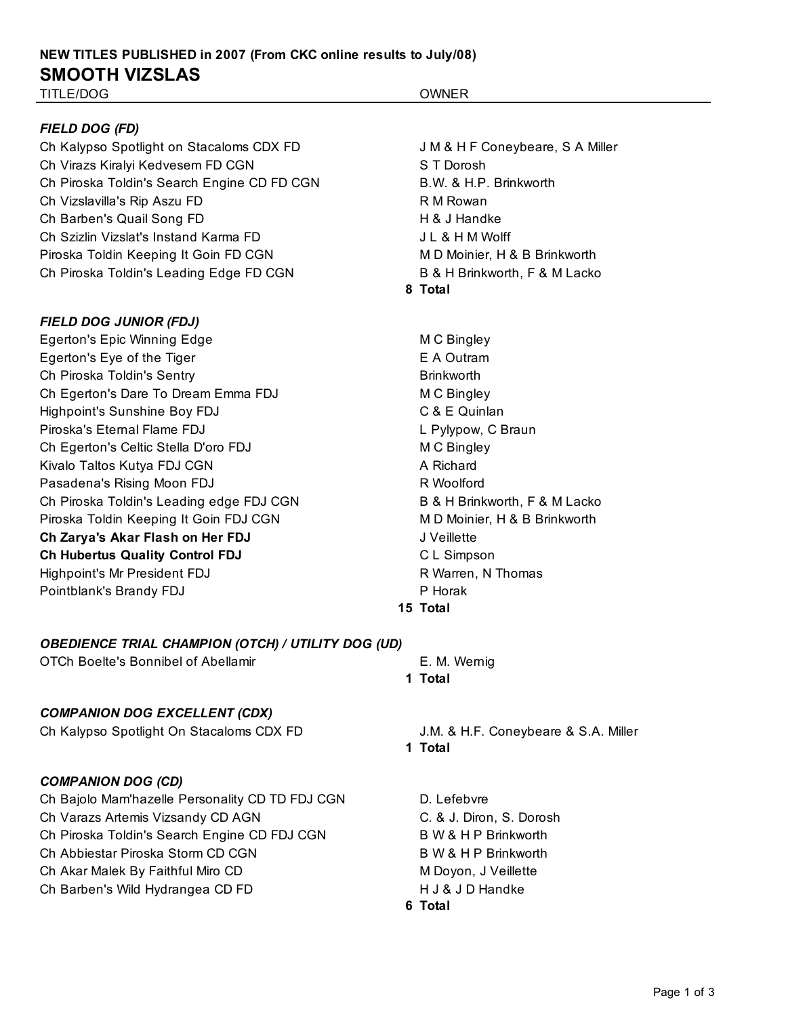# **NEW TITLES PUBLISHED in 2007 (From CKC online results to July/08) SMOOTH VIZSLAS**

### TITLE/DOG OWNER

#### *FIELD DOG (FD)*

Ch Kalypso Spotlight on Stacaloms CDX FD JM & H F Coneybeare, S A Miller Ch Virazs Kiralyi Kedvesem FD CGN S T Dorosh Ch Piroska Toldin's Search Engine CD FD CGN B.W. & H.P. Brinkworth Ch Vizslavilla's Rip Aszu FD R M Rowan Ch Barben's Quail Song FD H & J Handke Ch Szizlin Vizslat's Instand Karma FD **July 10 and Alexandric Christian** JL & H M Wolff Piroska Toldin Keeping It Goin FD CGN MEXALL MILL MILL MILL MOINIER, H & B Brinkworth Ch Piroska Toldin's Leading Edge FD CGN B & H Brinkworth, F & M Lacko

#### *FIELD DOG JUNIOR (FDJ)*

Egerton's Epic Winning Edge M C Bingley Egerton's Eye of the Tiger Ch Piroska Toldin's Sentry Ch Egerton's Dare To Dream Emma FDJ M C Bingley Highpoint's Sunshine Boy FDJ C & E Quinlan Piroska's Eternal Flame FDJ **L** Pylypow, C Braun Ch Egerton's Celtic Stella D'oro FDJ MC Bingley Kivalo Taltos Kutya FDJ CGN A Richard Pasadena's Rising Moon FDJ R Woolford Ch Piroska Toldin's Leading edge FDJ CGN B & H Brinkworth, F & M Lacko Piroska Toldin Keeping It Goin FDJ CGN MEXALL MINIMUM MINIMUM MINIMUM MINIMUM MINIMUM MINIMUM MINIMUM MINIMUM M **Ch Zarya's Akar Flash on Her FDJ** JVeillette **Ch Hubertus Quality Control FDJ** CL Simpson Highpoint's Mr President FDJ **R** Warren, N Thomas Pointblank's Brandy FDJ Pointblank's Brandy FDJ

**8 Total**

**1 Total**

E A Outram Brinkworth **15 Total**

#### *OBEDIENCE TRIAL CHAMPION (OTCH) / UTILITY DOG (UD)*

OTCh Boelte's Bonnibel of Abellamir **E. M. Wernig** 

#### *COMPANION DOG EXCELLENT (CDX)*

Ch Kalypso Spotlight On Stacaloms CDX FD J.M. & H.F. Coneybeare & S.A. Miller

#### *COMPANION DOG (CD)*

Ch Bajolo Mam'hazelle Personality CD TD FDJ CGN D. Lefebvre Ch Varazs Artemis Vizsandy CD AGN C. & J. Diron, S. Dorosh Ch Piroska Toldin's Search Engine CD FDJ CGN B W & H P Brinkworth Ch Abbiestar Piroska Storm CD CGN B W & H P Brinkworth Ch Akar Malek By Faithful Miro CD M Note and M Doyon, J Veillette

Ch Barben's Wild Hydrangea CD FD **H** J & J D Handke

**1 Total**

**6 Total**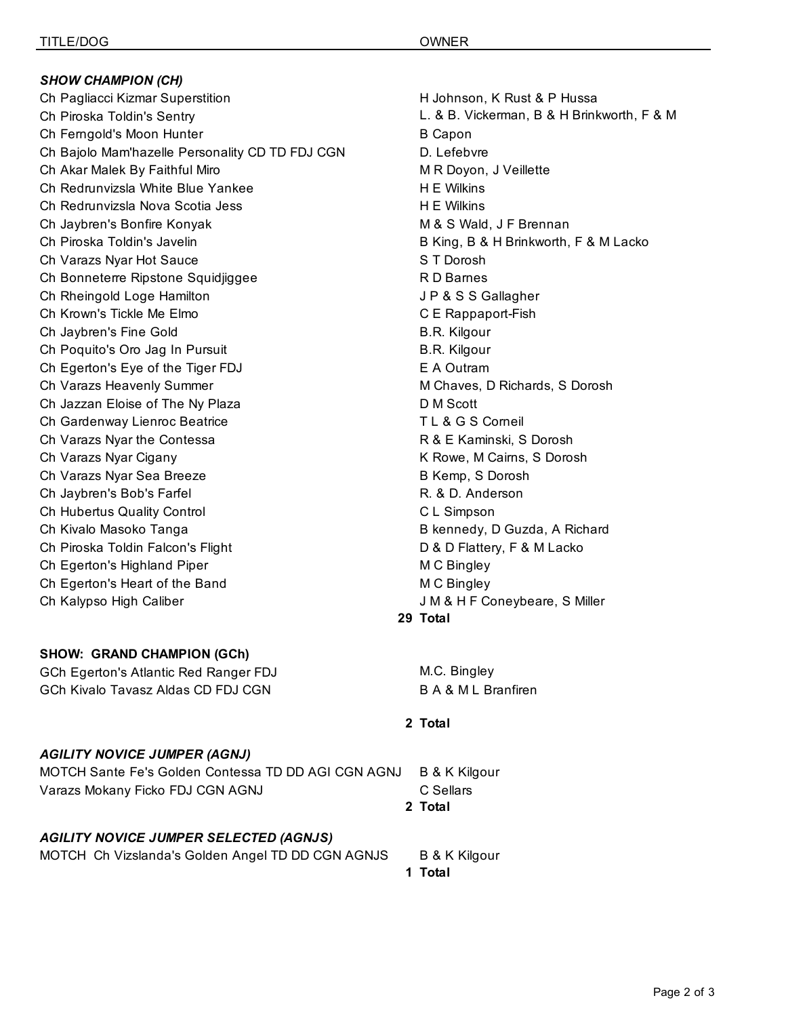*SHOW CHAMPION (CH)* Ch Pagliacci Kizmar Superstition **H** Johnson, K Rust & P Hussa Ch Piroska Toldin's Sentry L. & B. Vickerman, B & H Brinkworth, F & M Ch Ferngold's Moon Hunter Lacko B Capon Ch Bajolo Mam'hazelle Personality CD TD FDJ CGN D. Lefebvre Ch Akar Malek By Faithful Miro **Michael Accord MIC MIC MIC MIC MIC OVER THE OCCIT CONTAINING** ON R Doyon, J Veillette Ch Redrunvizsla White Blue Yankee **H** E Wilkins Ch Redrunvizsla Nova Scotia Jess **H E Wilkins** Ch Jaybren's Bonfire Konyak M & S Wald, J F Brennan Ch Piroska Toldin's Javelin **B King, B & H Brinkworth, F & M Lacko** Ch Varazs Nyar Hot Sauce S T Dorosh Ch Bonneterre Ripstone Squidjiggee **Research Charnes** R D Barnes Ch Rheingold Loge Hamilton **Jeannes Chamilton** JP & S S Gallagher Ch Krown's Tickle Me Elmo Changes and CE Rappaport-Fish Ch Jaybren's Fine Gold **B.R. Kilgour** B.R. Kilgour Ch Poquito's Oro Jag In Pursuit B.R. Kilgour Ch Egerton's Eye of the Tiger FDJ E A Outram Ch Varazs Heavenly Summer M Chaves, D Richards, S Dorosh Ch Jazzan Eloise of The Ny Plaza D M Scott Ch Gardenway Lienroc Beatrice The Changes of the Changes of the Corneil Changes of the Changes of the Changes of the Changes of the Changes of the Changes of the Changes of the Changes of the Changes of the Changes of the Ch Varazs Nyar the Contessa **R & E Kaminski, S Dorosh** Ch Varazs Nyar Cigany K Rowe, M Cairns, S Dorosh Ch Varazs Nyar Sea Breeze B Kemp, S Dorosh Ch Jaybren's Bob's Farfel R. & D. Anderson Ch Hubertus Quality Control C L Simpson Ch Kivalo Masoko Tanga **B and Album** B kennedy, D Guzda, A Richard Ch Piroska Toldin Falcon's Flight D B B D Flattery, F & M Lacko Ch Egerton's Highland Piper M C Bingley Ch Egerton's Heart of the Band M C Bingley Ch Kalypso High Caliber  $J M 8 H F$  Coneybeare, S Miller

#### **SHOW: GRAND CHAMPION (GCh)**

GCh Egerton's Atlantic Red Ranger FDJ M.C. Bingley GCh Kivalo Tavasz Aldas CD FDJ CGN B A & M L Branfiren

#### *AGILITY NOVICE JUMPER (AGNJ)*

MOTCH Sante Fe's Golden Contessa TD DD AGI CGN AGNJ B & K Kilgour Varazs Mokany Ficko FDJ CGN AGNJ CONDITENT C Sellars **2 Total**

#### *AGILITY NOVICE JUMPER SELECTED (AGNJS)*

MOTCH Ch Vizslanda's Golden Angel TD DD CGN AGNJS B & K Kilgour

**1 Total**

**29 Total**

#### **2 Total**